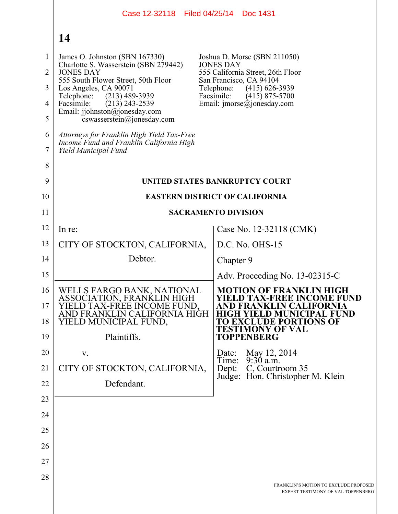|                                | Case 12-32118 Filed 04/25/14 Doc 1431                                                                                                        |                                                                                                                             |
|--------------------------------|----------------------------------------------------------------------------------------------------------------------------------------------|-----------------------------------------------------------------------------------------------------------------------------|
|                                | 14                                                                                                                                           |                                                                                                                             |
| $\mathbf{1}$<br>$\overline{2}$ | James O. Johnston (SBN 167330)<br>Charlotte S. Wasserstein (SBN 279442)<br><b>JONES DAY</b>                                                  | Joshua D. Morse (SBN 211050)<br><b>JONES DAY</b><br>555 California Street, 26th Floor                                       |
| 3                              | 555 South Flower Street, 50th Floor<br>Los Angeles, CA 90071                                                                                 | San Francisco, CA 94104<br>Telephone:<br>$(415)$ 626-3939                                                                   |
| $\overline{4}$                 | Telephone:<br>$(213)$ 489-3939<br>Facsimile:<br>$(213)$ 243-2539                                                                             | Facsimile:<br>$(415)$ 875-5700<br>Email: imorse@jonesday.com                                                                |
| 5                              | Email: jjohnston@jonesday.com<br>cswasserstein@jonesday.com                                                                                  |                                                                                                                             |
| 6<br>$\tau$                    | Attorneys for Franklin High Yield Tax-Free<br>Income Fund and Franklin California High<br>Yield Municipal Fund                               |                                                                                                                             |
| 8                              |                                                                                                                                              |                                                                                                                             |
| 9                              |                                                                                                                                              | UNITED STATES BANKRUPTCY COURT                                                                                              |
| 10                             |                                                                                                                                              | <b>EASTERN DISTRICT OF CALIFORNIA</b>                                                                                       |
| 11                             |                                                                                                                                              | <b>SACRAMENTO DIVISION</b>                                                                                                  |
| 12                             | In re:                                                                                                                                       | Case No. 12-32118 (CMK)                                                                                                     |
| 13                             | CITY OF STOCKTON, CALIFORNIA,                                                                                                                | D.C. No. OHS-15                                                                                                             |
| 14                             | Debtor.                                                                                                                                      | Chapter 9                                                                                                                   |
| 15                             |                                                                                                                                              | Adv. Proceeding No. $13-02315-C$                                                                                            |
| 16<br>17<br>18                 | WELLS FARGO BANK, NATIONAL<br>ASSOCIATION, FRANKLIN HIGH<br>D TAX-FREE INCOME FUND.<br>AND FRANKLIN CALIFORNIA HIGH<br>YIELD MUNICIPAL FUND, | <b>MOTION OF FRANKLIN HIGH</b><br>YIELD TAX-FREE INCOME FUND<br>IN CALIFORNIA<br>D MUNICIPAL FUND<br>TO EXCLUDE PORTIONS OF |
| 19                             | Plaintiffs.                                                                                                                                  | <b>TESTIMONY OF VAL</b><br><b>TOPPENBERG</b>                                                                                |
| 20                             | V.                                                                                                                                           | May 12, 2014<br>Date:                                                                                                       |
| 21                             | CITY OF STOCKTON, CALIFORNIA,                                                                                                                | $9:30$ a.m.<br>Time:<br>C, Courtroom 35<br>Dep:                                                                             |
| 22                             | Defendant.                                                                                                                                   | Judge: Hon. Christopher M. Klein                                                                                            |
| 23                             |                                                                                                                                              |                                                                                                                             |
| 24                             |                                                                                                                                              |                                                                                                                             |
| 25                             |                                                                                                                                              |                                                                                                                             |
| 26                             |                                                                                                                                              |                                                                                                                             |
| 27                             |                                                                                                                                              |                                                                                                                             |
| 28                             |                                                                                                                                              | FRANKLIN'S MOTION TO EXCLUDE PROPOSED<br>EXPERT TESTIMONY OF VAL TOPPENBERG                                                 |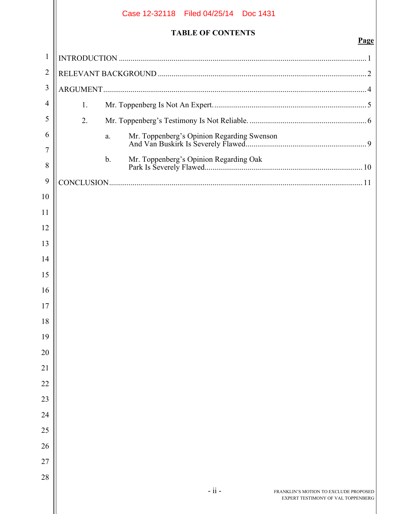|              | Case 12-32118 Filed 04/25/14 Doc 1431                                                  |             |  |
|--------------|----------------------------------------------------------------------------------------|-------------|--|
|              | <b>TABLE OF CONTENTS</b>                                                               |             |  |
| $\mathbf{1}$ |                                                                                        | <b>Page</b> |  |
| 2            |                                                                                        |             |  |
| 3            |                                                                                        |             |  |
| 4            |                                                                                        |             |  |
| 5            | 1.                                                                                     |             |  |
| 6            | 2.                                                                                     |             |  |
| 7            | a.                                                                                     |             |  |
| 8            | $\mathbf{b}$ .                                                                         |             |  |
| 9            |                                                                                        |             |  |
| 10           |                                                                                        |             |  |
| 11           |                                                                                        |             |  |
| 12           |                                                                                        |             |  |
| 13           |                                                                                        |             |  |
| 14           |                                                                                        |             |  |
| 15           |                                                                                        |             |  |
| 16           |                                                                                        |             |  |
| 17           |                                                                                        |             |  |
| 18           |                                                                                        |             |  |
| 19           |                                                                                        |             |  |
| 20           |                                                                                        |             |  |
| 21           |                                                                                        |             |  |
| 22           |                                                                                        |             |  |
| 23           |                                                                                        |             |  |
| 24           |                                                                                        |             |  |
| 25           |                                                                                        |             |  |
| 26           |                                                                                        |             |  |
| 27           |                                                                                        |             |  |
| 28           |                                                                                        |             |  |
|              | $-ii -$<br>FRANKLIN'S MOTION TO EXCLUDE PROPOSED<br>EXPERT TESTIMONY OF VAL TOPPENBERG |             |  |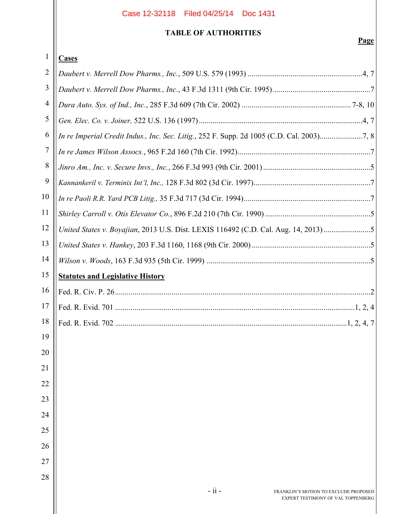# **TABLE OF AUTHORITIES**

| 1              | <b>Cases</b>                                                                              |
|----------------|-------------------------------------------------------------------------------------------|
| $\overline{2}$ |                                                                                           |
| 3              |                                                                                           |
| $\overline{4}$ |                                                                                           |
| 5              |                                                                                           |
| 6              | In re Imperial Credit Indus., Inc. Sec. Litig., 252 F. Supp. 2d 1005 (C.D. Cal. 2003)7, 8 |
| 7              |                                                                                           |
| 8              |                                                                                           |
| 9              |                                                                                           |
| 10             |                                                                                           |
| 11             |                                                                                           |
| 12             | United States v. Boyajian, 2013 U.S. Dist. LEXIS 116492 (C.D. Cal. Aug. 14, 2013)5        |
| 13             |                                                                                           |
| 14             |                                                                                           |
| 15             | <b>Statutes and Legislative History</b>                                                   |
| 16             |                                                                                           |
| 17             |                                                                                           |
| 18             |                                                                                           |
| 19             |                                                                                           |
| 20             |                                                                                           |
| 21             |                                                                                           |
| 22             |                                                                                           |
| 23             |                                                                                           |
| 24             |                                                                                           |
| 25             |                                                                                           |
| 26             |                                                                                           |
| 27             |                                                                                           |
| 28             |                                                                                           |
|                | $-ii -$<br>FRANKLIN'S MOTION TO EXCLUDE PROPOSED                                          |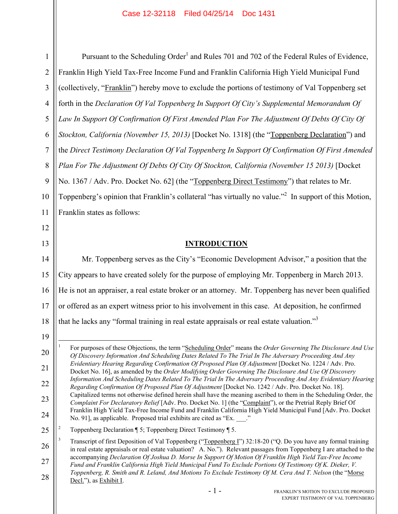1 2 3 4 5 6 7 8 9 10 11 Pursuant to the Scheduling Order<sup>1</sup> and Rules 701 and 702 of the Federal Rules of Evidence, Franklin High Yield Tax-Free Income Fund and Franklin California High Yield Municipal Fund (collectively, "Franklin") hereby move to exclude the portions of testimony of Val Toppenberg set forth in the *Declaration Of Val Toppenberg In Support Of City's Supplemental Memorandum Of*  Law In Support Of Confirmation Of First Amended Plan For The Adjustment Of Debts Of City Of *Stockton, California (November 15, 2013)* [Docket No. 1318] (the "Toppenberg Declaration") and the *Direct Testimony Declaration Of Val Toppenberg In Support Of Confirmation Of First Amended Plan For The Adjustment Of Debts Of City Of Stockton, California (November 15 2013)* [Docket No. 1367 / Adv. Pro. Docket No. 62] (the "Toppenberg Direct Testimony") that relates to Mr. Toppenberg's opinion that Franklin's collateral "has virtually no value."<sup>2</sup> In support of this Motion, Franklin states as follows:

12 13

## **INTRODUCTION**

14 15 16 17 18 Mr. Toppenberg serves as the City's "Economic Development Advisor," a position that the City appears to have created solely for the purpose of employing Mr. Toppenberg in March 2013. He is not an appraiser, a real estate broker or an attorney. Mr. Toppenberg has never been qualified or offered as an expert witness prior to his involvement in this case. At deposition, he confirmed that he lacks any "formal training in real estate appraisals or real estate valuation."<sup>3</sup>

<sup>19</sup>

<sup>20</sup> 21 22 23 24  $\overline{a}$ 1 For purposes of these Objections, the term "Scheduling Order" means the *Order Governing The Disclosure And Use Of Discovery Information And Scheduling Dates Related To The Trial In The Adversary Proceeding And Any Evidentiary Hearing Regarding Confirmation Of Proposed Plan Of Adjustment* [Docket No. 1224 / Adv. Pro. Docket No. 16], as amended by the *Order Modifying Order Governing The Disclosure And Use Of Discovery Information And Scheduling Dates Related To The Trial In The Adversary Proceeding And Any Evidentiary Hearing Regarding Confirmation Of Proposed Plan Of Adjustment* [Docket No. 1242 / Adv. Pro. Docket No. 18]. Capitalized terms not otherwise defined herein shall have the meaning ascribed to them in the Scheduling Order, the *Complaint For Declaratory Relief* [Adv. Pro. Docket No. 1] (the "Complaint"), or the Pretrial Reply Brief Of Franklin High Yield Tax-Free Income Fund and Franklin California High Yield Municipal Fund [Adv. Pro. Docket No. 91], as applicable. Proposed trial exhibits are cited as "Ex. \_\_\_."

<sup>25</sup> 2 Toppenberg Declaration ¶ 5; Toppenberg Direct Testimony ¶ 5.

<sup>26</sup> 27 28 3 Transcript of first Deposition of Val Toppenberg ("Toppenberg I") 32:18-20 ("Q. Do you have any formal training in real estate appraisals or real estate valuation? A. No."). Relevant passages from Toppenberg I are attached to the accompanying *Declaration Of Joshua D. Morse In Support Of Motion Of Franklin High Yield Tax-Free Income Fund and Franklin California High Yield Municipal Fund To Exclude Portions Of Testimony Of K. Dieker, V. Toppenberg, R. Smith and R. Leland, And Motions To Exclude Testimony Of M. Cera And T. Nelson* (the "Morse Decl."), as Exhibit I.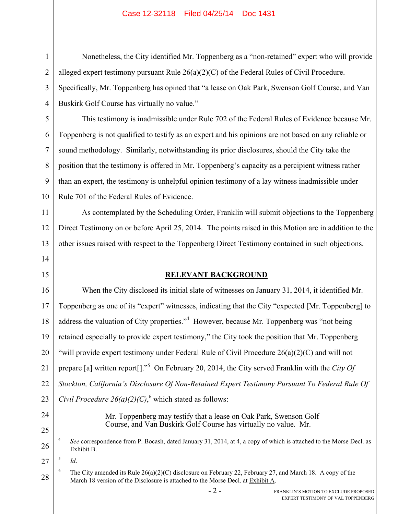Nonetheless, the City identified Mr. Toppenberg as a "non-retained" expert who will provide alleged expert testimony pursuant Rule  $26(a)(2)(C)$  of the Federal Rules of Civil Procedure. Specifically, Mr. Toppenberg has opined that "a lease on Oak Park, Swenson Golf Course, and Van Buskirk Golf Course has virtually no value."

This testimony is inadmissible under Rule 702 of the Federal Rules of Evidence because Mr. Toppenberg is not qualified to testify as an expert and his opinions are not based on any reliable or sound methodology. Similarly, notwithstanding its prior disclosures, should the City take the position that the testimony is offered in Mr. Toppenberg's capacity as a percipient witness rather than an expert, the testimony is unhelpful opinion testimony of a lay witness inadmissible under Rule 701 of the Federal Rules of Evidence.

As contemplated by the Scheduling Order, Franklin will submit objections to the Toppenberg Direct Testimony on or before April 25, 2014. The points raised in this Motion are in addition to the other issues raised with respect to the Toppenberg Direct Testimony contained in such objections.

# **RELEVANT BACKGROUND**

16 17 18 19 20 21 22 23 When the City disclosed its initial slate of witnesses on January 31, 2014, it identified Mr. Toppenberg as one of its "expert" witnesses, indicating that the City "expected [Mr. Toppenberg] to address the valuation of City properties."<sup>4</sup> However, because Mr. Toppenberg was "not being retained especially to provide expert testimony," the City took the position that Mr. Toppenberg "will provide expert testimony under Federal Rule of Civil Procedure 26(a)(2)(C) and will not prepare [a] written report[]."<sup>5</sup> On February 20, 2014, the City served Franklin with the *City Of Stockton, California's Disclosure Of Non-Retained Expert Testimony Pursuant To Federal Rule Of Civil Procedure 26(a)(2)(C)*,<sup>6</sup> which stated as follows:

24

25

1

2

3

4

5

6

7

8

9

10

11

12

13

14

15

Mr. Toppenberg may testify that a lease on Oak Park, Swenson Golf Course, and Van Buskirk Golf Course has virtually no value. Mr.

27 5

*Id*.

<u>.</u>

28 6 The City amended its Rule 26(a)(2)(C) disclosure on February 22, February 27, and March 18. A copy of the March 18 version of the Disclosure is attached to the Morse Decl. at Exhibit A.

<sup>26</sup> 4 *See* correspondence from P. Bocash, dated January 31, 2014, at 4, a copy of which is attached to the Morse Decl. as Exhibit B.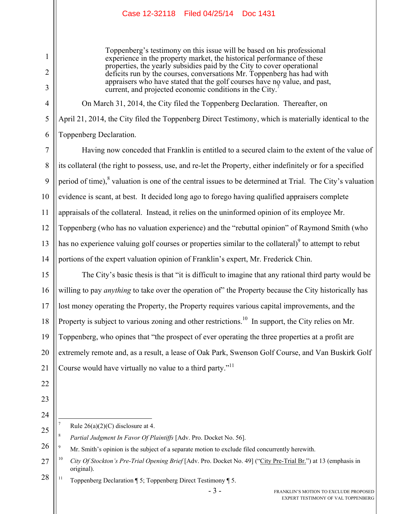Toppenberg's testimony on this issue will be based on his professional experience in the property market, the historical performance of these properties, the yearly subsidies paid by the City to cover operational deficits run by the courses, conversations Mr. Toppenberg has had with appraisers who have stated that the golf courses have no value, and past, current, and projected economic conditions in the City.<sup>7</sup>

On March 31, 2014, the City filed the Toppenberg Declaration. Thereafter, on April 21, 2014, the City filed the Toppenberg Direct Testimony, which is materially identical to the Toppenberg Declaration.

7 8 9 10 11 12 13 14 Having now conceded that Franklin is entitled to a secured claim to the extent of the value of its collateral (the right to possess, use, and re-let the Property, either indefinitely or for a specified period of time), $8$  valuation is one of the central issues to be determined at Trial. The City's valuation evidence is scant, at best. It decided long ago to forego having qualified appraisers complete appraisals of the collateral. Instead, it relies on the uninformed opinion of its employee Mr. Toppenberg (who has no valuation experience) and the "rebuttal opinion" of Raymond Smith (who has no experience valuing golf courses or properties similar to the collateral) $\degree$  to attempt to rebut portions of the expert valuation opinion of Franklin's expert, Mr. Frederick Chin.

15 16 17 18 19 20 21 The City's basic thesis is that "it is difficult to imagine that any rational third party would be willing to pay *anything* to take over the operation of" the Property because the City historically has lost money operating the Property, the Property requires various capital improvements, and the Property is subject to various zoning and other restrictions.<sup>10</sup> In support, the City relies on Mr. Toppenberg, who opines that "the prospect of ever operating the three properties at a profit are extremely remote and, as a result, a lease of Oak Park, Swenson Golf Course, and Van Buskirk Golf Course would have virtually no value to a third party."<sup>11</sup>

22 23 24

1

2

3

4

5

6

 $\overline{a}$ 7 Rule 26(a)(2)(C) disclosure at 4.

25 8 *Partial Judgment In Favor Of Plaintiffs* [Adv. Pro. Docket No. 56].

26 9 Mr. Smith's opinion is the subject of a separate motion to exclude filed concurrently herewith.

28 <sup>11</sup> Toppenberg Declaration  $\P$  5; Toppenberg Direct Testimony  $\P$  5.

<sup>27</sup> <sup>10</sup> *City Of Stockton's Pre-Trial Opening Brief* [Adv. Pro. Docket No. 49] ("City Pre-Trial Br.") at 13 (emphasis in original).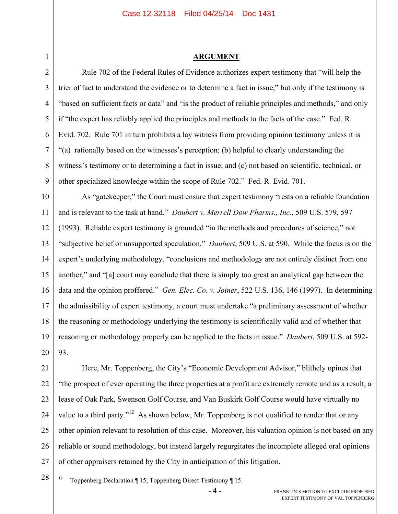#### **ARGUMENT**

Rule 702 of the Federal Rules of Evidence authorizes expert testimony that "will help the trier of fact to understand the evidence or to determine a fact in issue," but only if the testimony is "based on sufficient facts or data" and "is the product of reliable principles and methods," and only if "the expert has reliably applied the principles and methods to the facts of the case." Fed. R. Evid. 702. Rule 701 in turn prohibits a lay witness from providing opinion testimony unless it is "(a) rationally based on the witnesses's perception; (b) helpful to clearly understanding the witness's testimony or to determining a fact in issue; and (c) not based on scientific, technical, or other specialized knowledge within the scope of Rule 702." Fed. R. Evid. 701.

10 11 12 13 14 15 16 17 18 19 20 As "gatekeeper," the Court must ensure that expert testimony "rests on a reliable foundation and is relevant to the task at hand." *Daubert v. Merrell Dow Pharms., Inc.*, 509 U.S. 579, 597 (1993). Reliable expert testimony is grounded "in the methods and procedures of science," not "subjective belief or unsupported speculation." *Daubert*, 509 U.S. at 590. While the focus is on the expert's underlying methodology, "conclusions and methodology are not entirely distinct from one another," and "[a] court may conclude that there is simply too great an analytical gap between the data and the opinion proffered." *Gen. Elec. Co. v. Joiner*, 522 U.S. 136, 146 (1997). In determining the admissibility of expert testimony, a court must undertake "a preliminary assessment of whether the reasoning or methodology underlying the testimony is scientifically valid and of whether that reasoning or methodology properly can be applied to the facts in issue." *Daubert*, 509 U.S. at 592- 93.

21 22 23 24 25 26 27 Here, Mr. Toppenberg, the City's "Economic Development Advisor," blithely opines that "the prospect of ever operating the three properties at a profit are extremely remote and as a result, a lease of Oak Park, Swenson Golf Course, and Van Buskirk Golf Course would have virtually no value to a third party."<sup>12</sup> As shown below, Mr. Toppenberg is not qualified to render that or any other opinion relevant to resolution of this case. Moreover, his valuation opinion is not based on any reliable or sound methodology, but instead largely regurgitates the incomplete alleged oral opinions of other appraisers retained by the City in anticipation of this litigation.

28

1

2

3

4

5

6

7

8

- $12$ 12 Toppenberg Declaration ¶ 15; Toppenberg Direct Testimony ¶ 15.
	-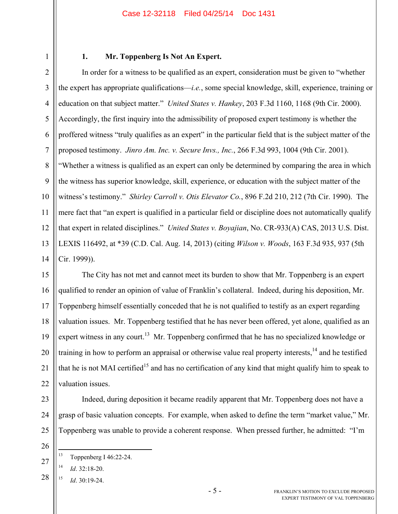1 2

### **1. Mr. Toppenberg Is Not An Expert.**

3 4 5 6 7 8 9 10 11 12 13 14 In order for a witness to be qualified as an expert, consideration must be given to "whether the expert has appropriate qualifications—*i.e.*, some special knowledge, skill, experience, training or education on that subject matter." *United States v. Hankey*, 203 F.3d 1160, 1168 (9th Cir. 2000). Accordingly, the first inquiry into the admissibility of proposed expert testimony is whether the proffered witness "truly qualifies as an expert" in the particular field that is the subject matter of the proposed testimony. *Jinro Am. Inc. v. Secure Invs., Inc.*, 266 F.3d 993, 1004 (9th Cir. 2001). "Whether a witness is qualified as an expert can only be determined by comparing the area in which the witness has superior knowledge, skill, experience, or education with the subject matter of the witness's testimony." *Shirley Carroll v. Otis Elevator Co.*, 896 F.2d 210, 212 (7th Cir. 1990). The mere fact that "an expert is qualified in a particular field or discipline does not automatically qualify that expert in related disciplines." *United States v. Boyajian*, No. CR-933(A) CAS, 2013 U.S. Dist. LEXIS 116492, at \*39 (C.D. Cal. Aug. 14, 2013) (citing *Wilson v. Woods*, 163 F.3d 935, 937 (5th Cir. 1999)).

15 16 17 18 19 20 21 22 The City has not met and cannot meet its burden to show that Mr. Toppenberg is an expert qualified to render an opinion of value of Franklin's collateral. Indeed, during his deposition, Mr. Toppenberg himself essentially conceded that he is not qualified to testify as an expert regarding valuation issues. Mr. Toppenberg testified that he has never been offered, yet alone, qualified as an expert witness in any court.<sup>13</sup> Mr. Toppenberg confirmed that he has no specialized knowledge or training in how to perform an appraisal or otherwise value real property interests,<sup>14</sup> and he testified that he is not MAI certified<sup>15</sup> and has no certification of any kind that might qualify him to speak to valuation issues.

Indeed, during deposition it became readily apparent that Mr. Toppenberg does not have a grasp of basic valuation concepts. For example, when asked to define the term "market value," Mr. Toppenberg was unable to provide a coherent response. When pressed further, he admitted: "I'm

14 *Id*. 32:18-20.

23

24

25

26

 $13$ Toppenberg I 46:22-24.

<sup>28</sup>  $^{15}$  *Id*. 30.19-24.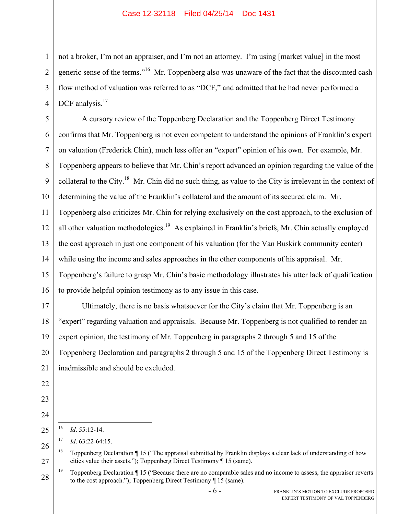not a broker, I'm not an appraiser, and I'm not an attorney. I'm using [market value] in the most generic sense of the terms."<sup>16</sup> Mr. Toppenberg also was unaware of the fact that the discounted cash flow method of valuation was referred to as "DCF," and admitted that he had never performed a DCF analysis.<sup>17</sup>

5 6 7 8 9 10 11 12 13 14 15 16 A cursory review of the Toppenberg Declaration and the Toppenberg Direct Testimony confirms that Mr. Toppenberg is not even competent to understand the opinions of Franklin's expert on valuation (Frederick Chin), much less offer an "expert" opinion of his own. For example, Mr. Toppenberg appears to believe that Mr. Chin's report advanced an opinion regarding the value of the collateral to the City.18 Mr. Chin did no such thing, as value to the City is irrelevant in the context of determining the value of the Franklin's collateral and the amount of its secured claim. Mr. Toppenberg also criticizes Mr. Chin for relying exclusively on the cost approach, to the exclusion of all other valuation methodologies.<sup>19</sup> As explained in Franklin's briefs, Mr. Chin actually employed the cost approach in just one component of his valuation (for the Van Buskirk community center) while using the income and sales approaches in the other components of his appraisal. Mr. Toppenberg's failure to grasp Mr. Chin's basic methodology illustrates his utter lack of qualification to provide helpful opinion testimony as to any issue in this case.

17 18 Ultimately, there is no basis whatsoever for the City's claim that Mr. Toppenberg is an "expert" regarding valuation and appraisals. Because Mr. Toppenberg is not qualified to render an expert opinion, the testimony of Mr. Toppenberg in paragraphs 2 through 5 and 15 of the Toppenberg Declaration and paragraphs 2 through 5 and 15 of the Toppenberg Direct Testimony is inadmissible and should be excluded.

1

2

3

 $16$ 16 *Id*. 55:12-14.

<sup>17</sup> *Id*. 63:22-64:15.

<sup>27</sup> <sup>18</sup> Toppenberg Declaration ¶ 15 ("The appraisal submitted by Franklin displays a clear lack of understanding of how cities value their assets."); Toppenberg Direct Testimony ¶ 15 (same).

<sup>28</sup> <sup>19</sup> Toppenberg Declaration  $\P$  15 ("Because there are no comparable sales and no income to assess, the appraiser reverts to the cost approach."); Toppenberg Direct Testimony ¶ 15 (same).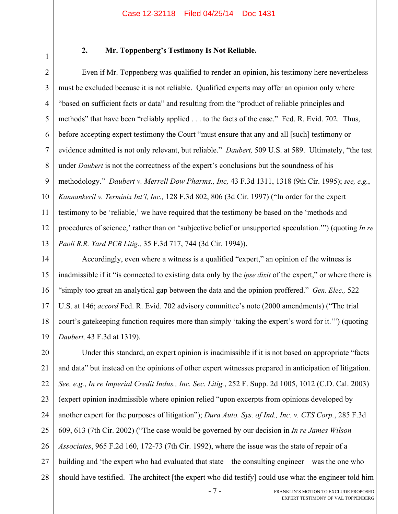1

### **2. Mr. Toppenberg's Testimony Is Not Reliable.**

2 3 4 5 6 7 8 9 10 11 12 13 Even if Mr. Toppenberg was qualified to render an opinion, his testimony here nevertheless must be excluded because it is not reliable. Qualified experts may offer an opinion only where "based on sufficient facts or data" and resulting from the "product of reliable principles and methods" that have been "reliably applied . . . to the facts of the case." Fed. R. Evid. 702. Thus, before accepting expert testimony the Court "must ensure that any and all [such] testimony or evidence admitted is not only relevant, but reliable." *Daubert,* 509 U.S. at 589. Ultimately, "the test under *Daubert* is not the correctness of the expert's conclusions but the soundness of his methodology." *Daubert v. Merrell Dow Pharms., Inc,* 43 F.3d 1311, 1318 (9th Cir. 1995); *see, e.g.*, *Kannankeril v. Terminix Int'l, Inc.,* 128 F.3d 802, 806 (3d Cir. 1997) ("In order for the expert testimony to be 'reliable,' we have required that the testimony be based on the 'methods and procedures of science,' rather than on 'subjective belief or unsupported speculation.'") (quoting *In re Paoli R.R. Yard PCB Litig.,* 35 F.3d 717, 744 (3d Cir. 1994)).

14 15 16 17 18 19 Accordingly, even where a witness is a qualified "expert," an opinion of the witness is inadmissible if it "is connected to existing data only by the *ipse dixit* of the expert," or where there is "simply too great an analytical gap between the data and the opinion proffered." *Gen. Elec.,* 522 U.S. at 146; *accord* Fed. R. Evid. 702 advisory committee's note (2000 amendments) ("The trial court's gatekeeping function requires more than simply 'taking the expert's word for it.'") (quoting *Daubert,* 43 F.3d at 1319).

20 21 22 23 24 25 26 27 28 Under this standard, an expert opinion is inadmissible if it is not based on appropriate "facts and data" but instead on the opinions of other expert witnesses prepared in anticipation of litigation. *See, e.g.*, *In re Imperial Credit Indus., Inc. Sec. Litig.*, 252 F. Supp. 2d 1005, 1012 (C.D. Cal. 2003) (expert opinion inadmissible where opinion relied "upon excerpts from opinions developed by another expert for the purposes of litigation"); *Dura Auto. Sys. of Ind., Inc. v. CTS Corp.*, 285 F.3d 609, 613 (7th Cir. 2002) ("The case would be governed by our decision in *In re James Wilson Associates*, 965 F.2d 160, 172-73 (7th Cir. 1992), where the issue was the state of repair of a building and 'the expert who had evaluated that state – the consulting engineer – was the one who should have testified. The architect [the expert who did testify] could use what the engineer told him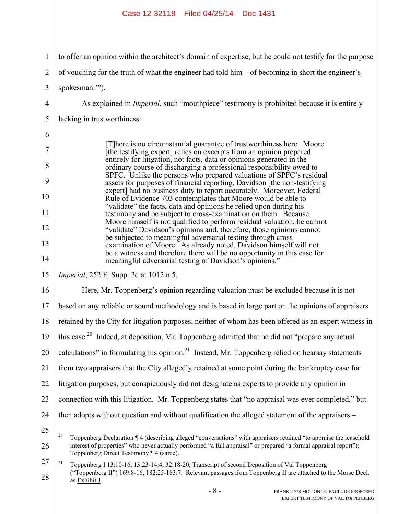#### 1 2 3 4 5 6 7 8 9 10 11 12 13 14 15 16 17 18 19 20 21 22 23 24 25 26 27 28 - 8 - FRANKLIN'S MOTION TO EXCLUDE PROPOSED to offer an opinion within the architect's domain of expertise, but he could not testify for the purpose of vouching for the truth of what the engineer had told him – of becoming in short the engineer's spokesman.'"). As explained in *Imperial*, such "mouthpiece" testimony is prohibited because it is entirely lacking in trustworthiness: [T]here is no circumstantial guarantee of trustworthiness here. Moore [the testifying expert] relies on excerpts from an opinion prepared entirely for litigation, not facts, data or opinions generated in the ordinary course of discharging a professional responsibility owed to SPFC. Unlike the persons who prepared valuations of SPFC's residual assets for purposes of financial reporting, Davidson [the non-testifying expert] had no business duty to report accurately. Moreover, Federal Rule of Evidence 703 contemplates that Moore would be able to "validate" the facts, data and opinions he relied upon during his testimony and be subject to cross-examination on them. Because Moore himself is not qualified to perform residual valuation, he cannot "validate" Davidson's opinions and, therefore, those opinions cannot be subjected to meaningful adversarial testing through crossexamination of Moore. As already noted, Davidson himself will not be a witness and therefore there will be no opportunity in this case for meaningful adversarial testing of Davidson's opinions." *Imperial*, 252 F. Supp. 2d at 1012 n.5. Here, Mr. Toppenberg's opinion regarding valuation must be excluded because it is not based on any reliable or sound methodology and is based in large part on the opinions of appraisers retained by the City for litigation purposes, neither of whom has been offered as an expert witness in this case.<sup>20</sup> Indeed, at deposition, Mr. Toppenberg admitted that he did not "prepare any actual calculations" in formulating his opinion.<sup>21</sup> Instead, Mr. Toppenberg relied on hearsay statements from two appraisers that the City allegedly retained at some point during the bankruptcy case for litigation purposes, but conspicuously did not designate as experts to provide any opinion in connection with this litigation. Mr. Toppenberg states that "no appraisal was ever completed," but then adopts without question and without qualification the alleged statement of the appraisers –  $20\degree$ 20 Toppenberg Declaration ¶ 4 (describing alleged "conversations" with appraisers retained "to appraise the leasehold interest of properties" who never actually performed "a full appraisal" or prepared "a formal appraisal report"); Toppenberg Direct Testimony ¶ 4 (same). <sup>21</sup> Toppenberg I 13:10-16, 13:23-14:4, 32:18-20; Transcript of second Deposition of Val Toppenberg ("Toppenberg II") 169:8-16, 182:25-183:7. Relevant passages from Toppenberg II are attached to the Morse Decl. as Exhibit J. Case 12-32118 Filed 04/25/14 Doc 1431

EXPERT TESTIMONY OF VAL TOPPENBERG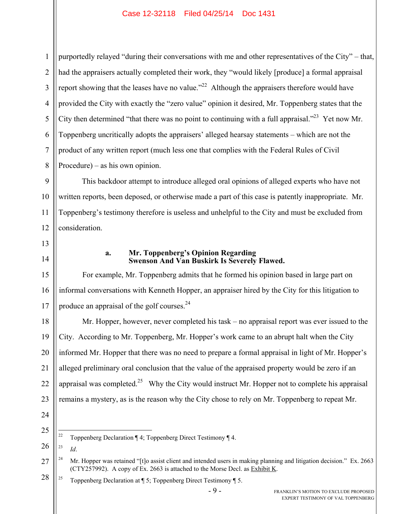1 2 3 4 5 6 7 8 purportedly relayed "during their conversations with me and other representatives of the City" – that, had the appraisers actually completed their work, they "would likely [produce] a formal appraisal report showing that the leases have no value."<sup>22</sup> Although the appraisers therefore would have provided the City with exactly the "zero value" opinion it desired, Mr. Toppenberg states that the City then determined "that there was no point to continuing with a full appraisal."<sup>23</sup> Yet now Mr. Toppenberg uncritically adopts the appraisers' alleged hearsay statements – which are not the product of any written report (much less one that complies with the Federal Rules of Civil Procedure) – as his own opinion.

9 10 11 12 This backdoor attempt to introduce alleged oral opinions of alleged experts who have not written reports, been deposed, or otherwise made a part of this case is patently inappropriate. Mr. Toppenberg's testimony therefore is useless and unhelpful to the City and must be excluded from consideration.

13 14

16

17

#### **a. Mr. Toppenberg's Opinion Regarding Swenson And Van Buskirk Is Severely Flawed.**

15 For example, Mr. Toppenberg admits that he formed his opinion based in large part on informal conversations with Kenneth Hopper, an appraiser hired by the City for this litigation to produce an appraisal of the golf courses.<sup>24</sup>

18 19 20 21 22 23 Mr. Hopper, however, never completed his task – no appraisal report was ever issued to the City. According to Mr. Toppenberg, Mr. Hopper's work came to an abrupt halt when the City informed Mr. Hopper that there was no need to prepare a formal appraisal in light of Mr. Hopper's alleged preliminary oral conclusion that the value of the appraised property would be zero if an appraisal was completed.<sup>25</sup> Why the City would instruct Mr. Hopper not to complete his appraisal remains a mystery, as is the reason why the City chose to rely on Mr. Toppenberg to repeat Mr.

24

25

- $\overline{22}$ 22 Toppenberg Declaration ¶ 4; Toppenberg Direct Testimony ¶ 4.
- 26 23 *Id*.

28 <sup>25</sup> Toppenberg Declaration at  $\P$  5; Toppenberg Direct Testimony  $\P$  5.

<sup>27</sup> <sup>24</sup> Mr. Hopper was retained "[t]o assist client and intended users in making planning and litigation decision." Ex. 2663 (CTY257992). A copy of Ex. 2663 is attached to the Morse Decl. as Exhibit K.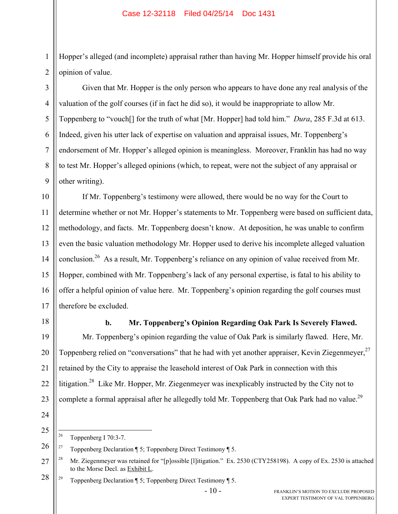Hopper's alleged (and incomplete) appraisal rather than having Mr. Hopper himself provide his oral opinion of value.

Given that Mr. Hopper is the only person who appears to have done any real analysis of the valuation of the golf courses (if in fact he did so), it would be inappropriate to allow Mr. Toppenberg to "vouch[] for the truth of what [Mr. Hopper] had told him." *Dura*, 285 F.3d at 613. Indeed, given his utter lack of expertise on valuation and appraisal issues, Mr. Toppenberg's endorsement of Mr. Hopper's alleged opinion is meaningless. Moreover, Franklin has had no way to test Mr. Hopper's alleged opinions (which, to repeat, were not the subject of any appraisal or other writing).

10 11 12 13 14 15 16 17 If Mr. Toppenberg's testimony were allowed, there would be no way for the Court to determine whether or not Mr. Hopper's statements to Mr. Toppenberg were based on sufficient data, methodology, and facts. Mr. Toppenberg doesn't know. At deposition, he was unable to confirm even the basic valuation methodology Mr. Hopper used to derive his incomplete alleged valuation conclusion.26 As a result, Mr. Toppenberg's reliance on any opinion of value received from Mr. Hopper, combined with Mr. Toppenberg's lack of any personal expertise, is fatal to his ability to offer a helpful opinion of value here. Mr. Toppenberg's opinion regarding the golf courses must therefore be excluded.

18

19

20

21

22

23

1

2

3

4

5

6

7

8

9

# **b. Mr. Toppenberg's Opinion Regarding Oak Park Is Severely Flawed.**

Mr. Toppenberg's opinion regarding the value of Oak Park is similarly flawed. Here, Mr. Toppenberg relied on "conversations" that he had with yet another appraiser, Kevin Ziegenmeyer,<sup>27</sup> retained by the City to appraise the leasehold interest of Oak Park in connection with this litigation.<sup>28</sup> Like Mr. Hopper, Mr. Ziegenmeyer was inexplicably instructed by the City not to complete a formal appraisal after he allegedly told Mr. Toppenberg that Oak Park had no value.<sup>29</sup>

24

25

 $\overline{26}$ Toppenberg I 70:3-7.

<sup>&</sup>lt;sup>27</sup> Toppenberg Declaration  $\P$  5; Toppenberg Direct Testimony  $\P$  5.

<sup>27</sup> <sup>28</sup> Mr. Ziegenmeyer was retained for "[p]ossible [1]itigation." Ex. 2530 (CTY258198). A copy of Ex. 2530 is attached to the Morse Decl. as Exhibit L.

<sup>28</sup> <sup>29</sup> Toppenberg Declaration  $\P$  5; Toppenberg Direct Testimony  $\P$  5.